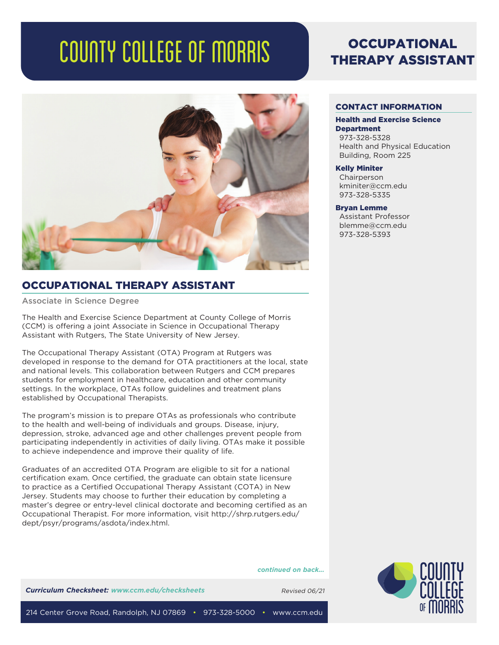# COUNTY COLLEGE OF MORRIS



# OCCUPATIONAL THERAPY ASSISTANT

Associate in Science Degree

The Health and Exercise Science Department at County College of Morris (CCM) is offering a joint Associate in Science in Occupational Therapy Assistant with Rutgers, The State University of New Jersey.

The Occupational Therapy Assistant (OTA) Program at Rutgers was developed in response to the demand for OTA practitioners at the local, state and national levels. This collaboration between Rutgers and CCM prepares students for employment in healthcare, education and other community settings. In the workplace, OTAs follow guidelines and treatment plans established by Occupational Therapists.

The program's mission is to prepare OTAs as professionals who contribute to the health and well-being of individuals and groups. Disease, injury, depression, stroke, advanced age and other challenges prevent people from participating independently in activities of daily living. OTAs make it possible to achieve independence and improve their quality of life.

Graduates of an accredited OTA Program are eligible to sit for a national certification exam. Once certified, the graduate can obtain state licensure to practice as a Certified Occupational Therapy Assistant (COTA) in New Jersey. Students may choose to further their education by completing a master's degree or entry-level clinical doctorate and becoming certified as an Occupational Therapist. For more information, visit http://shrp.rutgers.edu/ dept/psyr/programs/asdota/index.html.

*continued on back...*



#### CONTACT INFORMATION

#### Health and Exercise Science **Department**

973-328-5328 Health and Physical Education Building, Room 225

#### Kelly Miniter

Chairperson kminiter@ccm.edu 973-328-5335

#### Bryan Lemme

Assistant Professor blemme@ccm.edu 973-328-5393

**Curriculum Checksheet: www.ccm.edu/checksheets** Revised 06/21